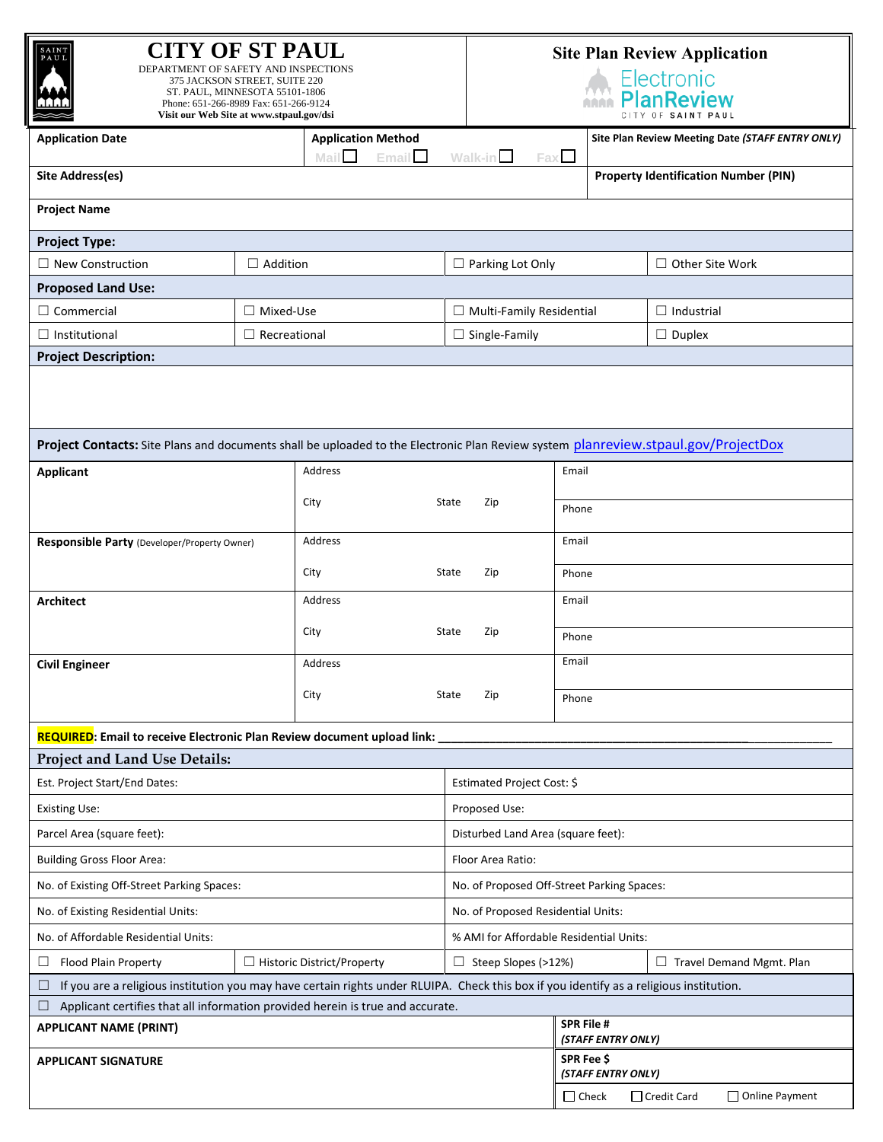| <b>CITY OF ST PAUL</b><br>SAINT<br>DEPARTMENT OF SAFETY AND INSPECTIONS<br>375 JACKSON STREET, SUITE 220<br>ST. PAUL, MINNESOTA 55101-1806<br>Phone: 651-266-8989 Fax: 651-266-9124<br>Visit our Web Site at www.stpaul.gov/dsi |                     |                                            | <b>Site Plan Review Application</b><br>Electronic<br>PlanReview |                                         |                                             |                                                  |  |  |
|---------------------------------------------------------------------------------------------------------------------------------------------------------------------------------------------------------------------------------|---------------------|--------------------------------------------|-----------------------------------------------------------------|-----------------------------------------|---------------------------------------------|--------------------------------------------------|--|--|
| <b>Application Date</b>                                                                                                                                                                                                         |                     | <b>Application Method</b><br>Email<br>Mail | Walk-in                                                         | Fax L                                   |                                             | Site Plan Review Meeting Date (STAFF ENTRY ONLY) |  |  |
| Site Address(es)                                                                                                                                                                                                                |                     |                                            |                                                                 |                                         | <b>Property Identification Number (PIN)</b> |                                                  |  |  |
| <b>Project Name</b>                                                                                                                                                                                                             |                     |                                            |                                                                 |                                         |                                             |                                                  |  |  |
| <b>Project Type:</b>                                                                                                                                                                                                            |                     |                                            |                                                                 |                                         |                                             |                                                  |  |  |
| $\Box$ Addition<br>$\Box$ New Construction                                                                                                                                                                                      |                     | $\Box$ Parking Lot Only                    |                                                                 | $\Box$ Other Site Work                  |                                             |                                                  |  |  |
| <b>Proposed Land Use:</b>                                                                                                                                                                                                       |                     |                                            |                                                                 |                                         |                                             |                                                  |  |  |
| $\Box$ Commercial<br>$\Box$ Mixed-Use                                                                                                                                                                                           |                     |                                            | $\Box$ Multi-Family Residential                                 |                                         |                                             | $\Box$ Industrial                                |  |  |
| $\Box$ Institutional                                                                                                                                                                                                            | $\Box$ Recreational |                                            | $\Box$ Single-Family                                            |                                         | $\Box$ Duplex                               |                                                  |  |  |
| <b>Project Description:</b>                                                                                                                                                                                                     |                     |                                            |                                                                 |                                         |                                             |                                                  |  |  |
| Project Contacts: Site Plans and documents shall be uploaded to the Electronic Plan Review system planreview.stpaul.gov/ProjectDox                                                                                              |                     |                                            |                                                                 |                                         |                                             |                                                  |  |  |
| <b>Applicant</b>                                                                                                                                                                                                                |                     | Address                                    |                                                                 | Email                                   |                                             |                                                  |  |  |
|                                                                                                                                                                                                                                 |                     |                                            |                                                                 |                                         |                                             |                                                  |  |  |
|                                                                                                                                                                                                                                 |                     | City                                       | State<br>Zip                                                    | Phone                                   |                                             |                                                  |  |  |
| Responsible Party (Developer/Property Owner)                                                                                                                                                                                    |                     | Address                                    |                                                                 | Email                                   |                                             |                                                  |  |  |
|                                                                                                                                                                                                                                 |                     | City<br>State<br>Zip                       |                                                                 | Phone                                   |                                             |                                                  |  |  |
| Address<br><b>Architect</b>                                                                                                                                                                                                     |                     |                                            | Email                                                           |                                         |                                             |                                                  |  |  |
| City                                                                                                                                                                                                                            |                     |                                            | Zip<br>State                                                    | Phone                                   |                                             |                                                  |  |  |
| <b>Civil Engineer</b>                                                                                                                                                                                                           |                     | Address                                    |                                                                 | Email                                   |                                             |                                                  |  |  |
|                                                                                                                                                                                                                                 |                     | City                                       | State<br>Zip                                                    | Phone                                   |                                             |                                                  |  |  |
| REQUIRED: Email to receive Electronic Plan Review document upload link:                                                                                                                                                         |                     |                                            |                                                                 |                                         |                                             |                                                  |  |  |
| Project and Land Use Details:                                                                                                                                                                                                   |                     |                                            |                                                                 |                                         |                                             |                                                  |  |  |
| Est. Project Start/End Dates:                                                                                                                                                                                                   |                     |                                            | Estimated Project Cost: \$                                      |                                         |                                             |                                                  |  |  |
| <b>Existing Use:</b>                                                                                                                                                                                                            |                     |                                            | Proposed Use:                                                   |                                         |                                             |                                                  |  |  |
| Parcel Area (square feet):                                                                                                                                                                                                      |                     |                                            | Disturbed Land Area (square feet):                              |                                         |                                             |                                                  |  |  |
| <b>Building Gross Floor Area:</b>                                                                                                                                                                                               |                     |                                            | Floor Area Ratio:                                               |                                         |                                             |                                                  |  |  |
| No. of Existing Off-Street Parking Spaces:                                                                                                                                                                                      |                     |                                            | No. of Proposed Off-Street Parking Spaces:                      |                                         |                                             |                                                  |  |  |
| No. of Existing Residential Units:                                                                                                                                                                                              |                     |                                            | No. of Proposed Residential Units:                              |                                         |                                             |                                                  |  |  |
| No. of Affordable Residential Units:                                                                                                                                                                                            |                     |                                            | % AMI for Affordable Residential Units:                         |                                         |                                             |                                                  |  |  |
| Flood Plain Property<br>ப                                                                                                                                                                                                       |                     | $\Box$ Historic District/Property          | $\Box$ Steep Slopes (>12%)                                      |                                         |                                             | $\Box$ Travel Demand Mgmt. Plan                  |  |  |
| If you are a religious institution you may have certain rights under RLUIPA. Check this box if you identify as a religious institution.                                                                                         |                     |                                            |                                                                 |                                         |                                             |                                                  |  |  |
| Applicant certifies that all information provided herein is true and accurate.                                                                                                                                                  |                     |                                            |                                                                 |                                         |                                             |                                                  |  |  |
| <b>APPLICANT NAME (PRINT)</b>                                                                                                                                                                                                   |                     |                                            |                                                                 | <b>SPR File #</b><br>(STAFF ENTRY ONLY) |                                             |                                                  |  |  |
| <b>APPLICANT SIGNATURE</b>                                                                                                                                                                                                      |                     |                                            |                                                                 | SPR Fee \$<br>(STAFF ENTRY ONLY)        |                                             |                                                  |  |  |
|                                                                                                                                                                                                                                 |                     | $\Box$ Check                               |                                                                 | □ Credit Card<br>□ Online Payment       |                                             |                                                  |  |  |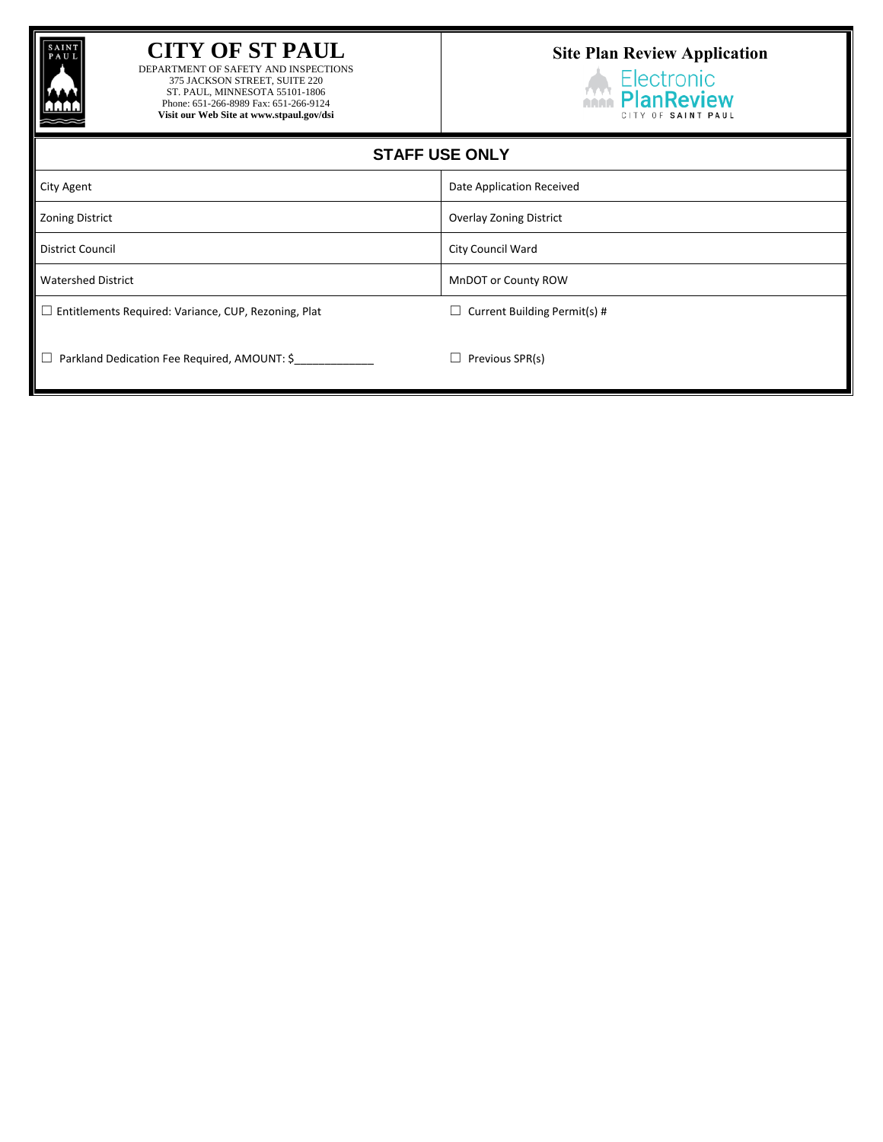

## **CITY OF ST PAUL**

DEPARTMENT OF SAFETY AND INSPECTIONS 375 JACKSON STREET, SUITE 220 ST. PAUL, MINNESOTA 55101-1806 Phone: 651-266-8989 Fax: 651-266-9124 **Visit our Web Site at www.stpaul.gov/dsi**

## **Site Plan Review Application**

Electronic **Electronic**<br>**PlanReview** CITY OF SAINT PAUL

| <b>STAFF USE ONLY</b>                                       |                                     |
|-------------------------------------------------------------|-------------------------------------|
| City Agent                                                  | Date Application Received           |
| Zoning District                                             | <b>Overlay Zoning District</b>      |
| District Council                                            | City Council Ward                   |
| <b>Watershed District</b>                                   | MnDOT or County ROW                 |
| $\Box$ Entitlements Required: Variance, CUP, Rezoning, Plat | $\Box$ Current Building Permit(s) # |
| $\Box$ Parkland Dedication Fee Required, AMOUNT: \$         | Previous SPR(s)<br>$\Box$           |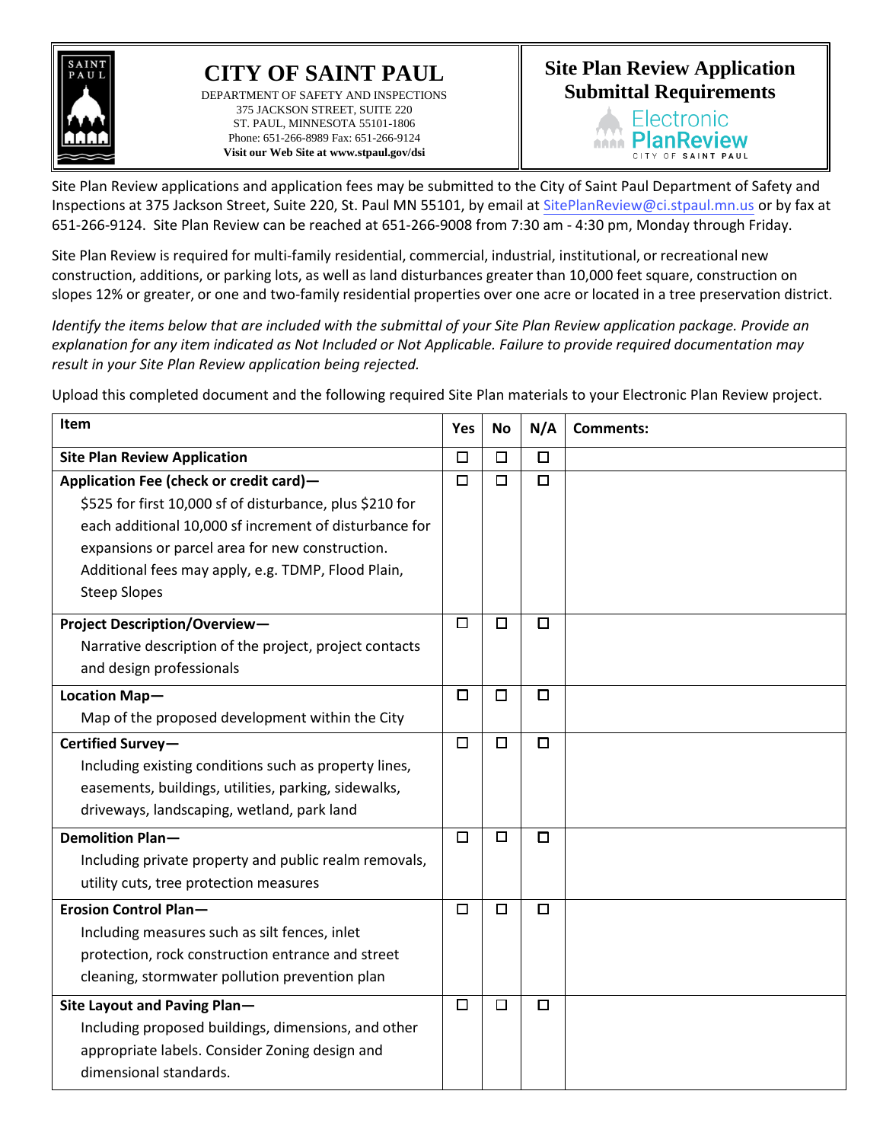

## **CITY OF SAINT PAUL** DEPARTMENT OF SAFETY AND INSPECTIONS 375 JACKSON STREET, SUITE 220 ST. PAUL, MINNESOTA 55101-1806 Phone: 651-266-8989 Fax: 651-266-9124 **Visit our Web Site a[t www.stpaul.gov/dsi](http://www.stpaul.gov/dsi)**

## **Site Plan Review Application Submittal Requirements**



Site Plan Review applications and application fees may be submitted to the City of Saint Paul Department of Safety and Inspections at 375 Jackson Street, Suite 220, St. Paul MN 55101, by email at SitePlanReview@ci.stpaul.mn.us or by fax at 651-266-9124. Site Plan Review can be reached at 651-266-9008 from 7:30 am - 4:30 pm, Monday through Friday.

Site Plan Review is required for multi-family residential, commercial, industrial, institutional, or recreational new construction, additions, or parking lots, as well as land disturbances greater than 10,000 feet square, construction on slopes 12% or greater, or one and two-family residential properties over one acre or located in a tree preservation district.

*Identify the items below that are included with the submittal of your Site Plan Review application package. Provide an explanation for any item indicated as Not Included or Not Applicable. Failure to provide required documentation may result in your Site Plan Review application being rejected.*

Upload this completed document and the following required Site Plan materials to your Electronic Plan Review project.

| Item                                                     | Yes    | <b>No</b> | N/A    | <b>Comments:</b> |
|----------------------------------------------------------|--------|-----------|--------|------------------|
| <b>Site Plan Review Application</b>                      | $\Box$ | $\Box$    | $\Box$ |                  |
| Application Fee (check or credit card)-                  | $\Box$ | $\Box$    | $\Box$ |                  |
| \$525 for first 10,000 sf of disturbance, plus \$210 for |        |           |        |                  |
| each additional 10,000 sf increment of disturbance for   |        |           |        |                  |
| expansions or parcel area for new construction.          |        |           |        |                  |
| Additional fees may apply, e.g. TDMP, Flood Plain,       |        |           |        |                  |
| <b>Steep Slopes</b>                                      |        |           |        |                  |
| <b>Project Description/Overview-</b>                     | □      | $\Box$    | □      |                  |
| Narrative description of the project, project contacts   |        |           |        |                  |
| and design professionals                                 |        |           |        |                  |
| Location Map-                                            | $\Box$ | $\Box$    | $\Box$ |                  |
| Map of the proposed development within the City          |        |           |        |                  |
| Certified Survey-                                        |        | □         | $\Box$ |                  |
| Including existing conditions such as property lines,    |        |           |        |                  |
| easements, buildings, utilities, parking, sidewalks,     |        |           |        |                  |
| driveways, landscaping, wetland, park land               |        |           |        |                  |
| <b>Demolition Plan-</b>                                  | $\Box$ | $\Box$    | $\Box$ |                  |
| Including private property and public realm removals,    |        |           |        |                  |
| utility cuts, tree protection measures                   |        |           |        |                  |
| <b>Erosion Control Plan-</b>                             | $\Box$ | $\Box$    | $\Box$ |                  |
| Including measures such as silt fences, inlet            |        |           |        |                  |
| protection, rock construction entrance and street        |        |           |        |                  |
| cleaning, stormwater pollution prevention plan           |        |           |        |                  |
| Site Layout and Paving Plan-                             | $\Box$ | $\Box$    | □      |                  |
| Including proposed buildings, dimensions, and other      |        |           |        |                  |
| appropriate labels. Consider Zoning design and           |        |           |        |                  |
| dimensional standards.                                   |        |           |        |                  |